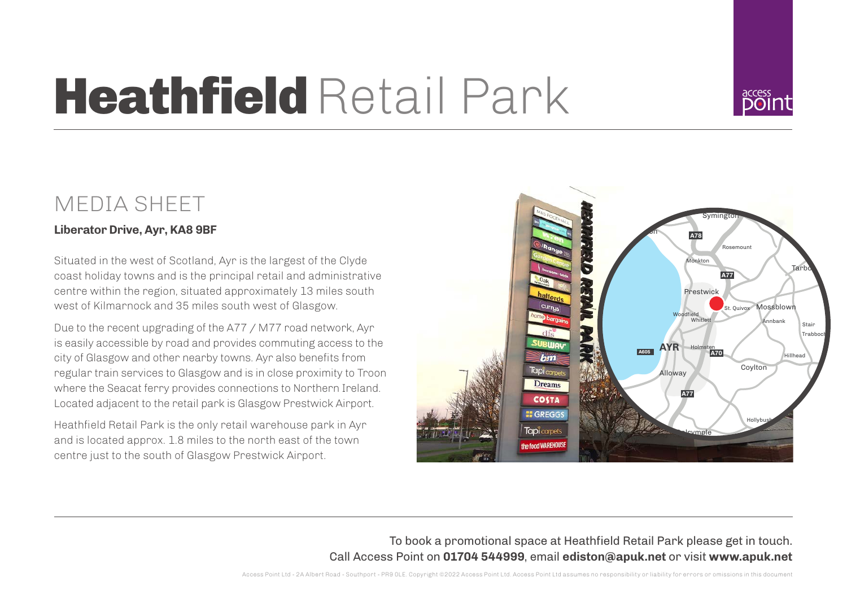# **Heathfield Retail Park**

## MEDIA SHEET

### **Liberator Drive, Ayr, KA8 9BF**

Situated in the west of Scotland, Ayr is the largest of the Clyde coast holiday towns and is the principal retail and administrative centre within the region, situated approximately 13 miles south west of Kilmarnock and 35 miles south west of Glasgow.

Due to the recent upgrading of the A77 / M77 road network, Ayr is easily accessible by road and provides commuting access to the city of Glasgow and other nearby towns. Ayr also benefits from regular train services to Glasgow and is in close proximity to Troon where the Seacat ferry provides connections to Northern Ireland. Located adjacent to the retail park is Glasgow Prestwick Airport.

Heathfield Retail Park is the only retail warehouse park in Ayr and is located approx. 1.8 miles to the north east of the town centre just to the south of Glasgow Prestwick Airport.



To book a promotional space at Heathfield Retail Park please get in touch. Call Access Point on **01704 544999**, email **ediston@apuk.net** or visit **www.apuk.net**